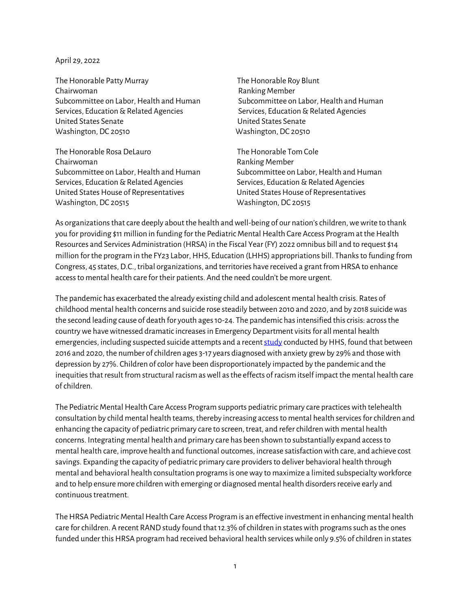## April 29, 2022

The Honorable Patty Murray The Honorable Roy Blunt Chairwoman **Ranking Member** Ranking Member Subcommittee on Labor, Health and Human Subcommittee on Labor, Health and Human Services, Education & Related Agencies Services, Education & Related Agencies United States Senate United States Senate Washington, DC 20510 Washington, DC 20510

The Honorable Rosa DeLauro The Honorable Tom Cole Chairwoman **Ranking Member** Ranking Member Subcommittee on Labor, Health and Human Subcommittee on Labor, Health and Human Services, Education & Related Agencies Services, Education & Related Agencies United States House of Representatives United States House of Representatives Washington, DC 20515 Washington, DC 20515

As organizations that care deeply about the health and well-being of our nation's children, we write to thank you for providing \$11 million in funding for the Pediatric Mental Health Care Access Program at the Health Resources and Services Administration (HRSA) in the Fiscal Year (FY) 2022 omnibus bill and to request \$14 million for the program in the FY23 Labor, HHS, Education (LHHS) appropriations bill. Thanks to funding from Congress, 45 states, D.C., tribal organizations, and territories have received a grant from HRSA to enhance access to mental health care for their patients. And the need couldn't be more urgent.

The pandemic has exacerbated the already existing child and adolescent mental health crisis. Rates of childhood mental health concerns and suicide rose steadily between 2010 and 2020, and by 2018 suicide was the second leading cause of death for youth ages 10-24. The pandemic has intensified this crisis: across the country we have witnessed dramatic increases in Emergency Department visits for all mental health emergencies, including suspected suicide attempts and a recen[t study](https://jamanetwork.com/journals/jamapediatrics/fullarticle/2789946?guestAccessKey=41fde697-e79f-411c-bed3-743faeb63055&utm_source=For_The_Media&utm_medium=referral&utm_campaign=ftm_links&utm_content=tfl&utm_term=031422) conducted by HHS, found that between 2016 and 2020, the number of children ages 3-17 years diagnosed with anxiety grew by 29% and those with depression by 27%. Children of color have been disproportionately impacted by the pandemic and the inequities that result from structural racism as well as the effects of racism itself impact the mental health care of children.

The Pediatric Mental Health Care Access Program supports pediatric primary care practices with telehealth consultation by child mental health teams, thereby increasing access to mental health services for children and enhancing the capacity of pediatric primary care to screen, treat, and refer children with mental health concerns. Integrating mental health and primary care has been shown to substantially expand access to mental health care, improve health and functional outcomes, increase satisfaction with care, and achieve cost savings. Expanding the capacity of pediatric primary care providers to deliver behavioral health through mental and behavioral health consultation programs is one way to maximize a limited subspecialty workforce and to help ensure more children with emerging or diagnosed mental health disorders receive early and continuous treatment.

The HRSA Pediatric Mental Health Care Access Program is an effective investment in enhancing mental health care for children. A recent RAND study found that 12.3% of children in states with programs such as the ones funded under this HRSA program had received behavioral health services while only 9.5% of children in states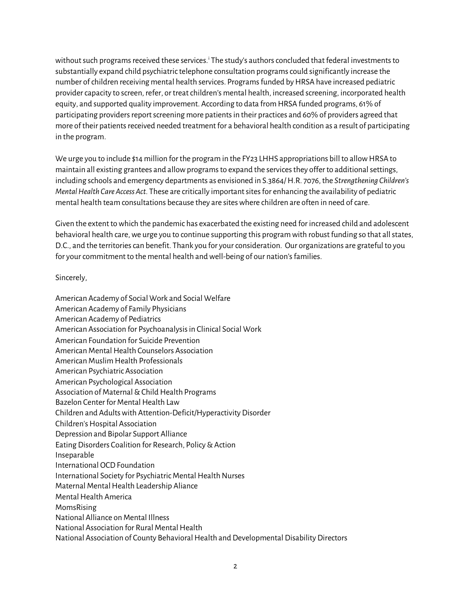w[i](#page-2-0)thout such programs received these services.<sup>†</sup> The study's authors concluded that federal investments to substantially expand child psychiatric telephone consultation programs could significantly increase the number of children receiving mental health services. Programs funded by HRSA have increased pediatric provider capacity to screen, refer, or treat children's mental health, increased screening, incorporated health equity, and supported quality improvement. According to data from HRSA funded programs, 61% of participating providers report screening more patients in their practices and 60% of providers agreed that more of their patients received needed treatment for a behavioral health condition as a result of participating in the program.

We urge you to include \$14 million for the program in the FY23 LHHS appropriations bill to allow HRSA to maintain all existing grantees and allow programs to expand the services they offer to additional settings, including schools and emergency departments as envisioned in S.3864/ H.R. 7076, the *Strengthening Children's Mental Health Care Access Act.* These are critically importantsitesfor enhancing the availability of pediatric mental health team consultations because they are sites where children are often in need of care.

Given the extent to which the pandemic has exacerbated the existing need for increased child and adolescent behavioral health care, we urge you to continue supporting this program with robust funding so that all states, D.C., and the territories can benefit. Thank you for your consideration. Our organizations are grateful to you for your commitment to the mental health and well-being of our nation's families.

Sincerely,

American Academy of Social Work and Social Welfare American Academy of Family Physicians American Academy of Pediatrics American Association for Psychoanalysis in Clinical Social Work American Foundation for Suicide Prevention American Mental Health Counselors Association American Muslim Health Professionals American Psychiatric Association American Psychological Association Association of Maternal & Child Health Programs Bazelon Center for Mental Health Law Children and Adults with Attention-Deficit/Hyperactivity Disorder Children's Hospital Association Depression and Bipolar Support Alliance Eating Disorders Coalition for Research, Policy & Action Inseparable International OCD Foundation International Society for Psychiatric Mental Health Nurses Maternal Mental Health Leadership Aliance Mental Health America MomsRising National Alliance on Mental Illness National Association for Rural Mental Health National Association of County Behavioral Health and Developmental Disability Directors